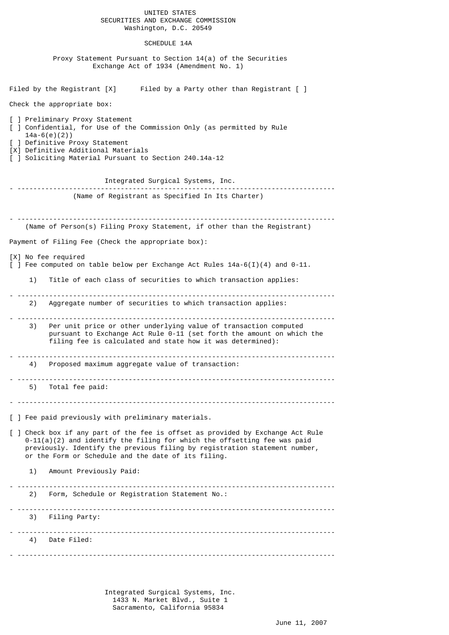## UNITED STATES SECURITIES AND EXCHANGE COMMISSION Washington, D.C. 20549

## SCHEDULE 14A

 Proxy Statement Pursuant to Section 14(a) of the Securities Exchange Act of 1934 (Amendment No. 1)

Filed by the Registrant  $[X]$  Filed by a Party other than Registrant  $[$  ] Check the appropriate box: ] Preliminary Proxy Statement [ ] Confidential, for Use of the Commission Only (as permitted by Rule 14a-6(e)(2)) ] Definitive Proxy Statement [X] Definitive Additional Materials [ ] Soliciting Material Pursuant to Section 240.14a-12 Integrated Surgical Systems, Inc. - -------------------------------------------------------------------------------- (Name of Registrant as Specified In Its Charter) - -------------------------------------------------------------------------------- (Name of Person(s) Filing Proxy Statement, if other than the Registrant) Payment of Filing Fee (Check the appropriate box): [X] No fee required  $\lceil$  ] Fee computed on table below per Exchange Act Rules 14a-6(I)(4) and 0-11. 1) Title of each class of securities to which transaction applies: - -------------------------------------------------------------------------------- 2) Aggregate number of securities to which transaction applies: - -------------------------------------------------------------------------------- 3) Per unit price or other underlying value of transaction computed pursuant to Exchange Act Rule 0-11 (set forth the amount on which the filing fee is calculated and state how it was determined): - -------------------------------------------------------------------------------- 4) Proposed maximum aggregate value of transaction: - -------------------------------------------------------------------------------- 5) Total fee paid: - -------------------------------------------------------------------------------- [ ] Fee paid previously with preliminary materials. [ ] Check box if any part of the fee is offset as provided by Exchange Act Rule  $0-11(a)(2)$  and identify the filing for which the offsetting fee was paid previously. Identify the previous filing by registration statement number, or the Form or Schedule and the date of its filing. 1) Amount Previously Paid: - -------------------------------------------------------------------------------- 2) Form, Schedule or Registration Statement No.: - -------------------------------------------------------------------------------- 3) Filing Party: - -------------------------------------------------------------------------------- 4) Date Filed: - --------------------------------------------------------------------------------

> Integrated Surgical Systems, Inc. 1433 N. Market Blvd., Suite 1 Sacramento, California 95834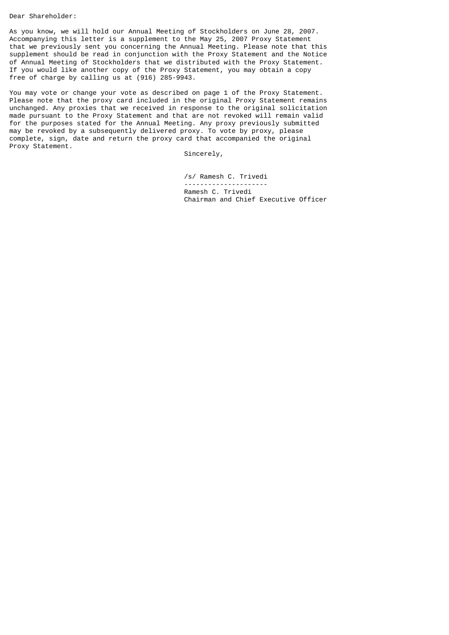Dear Shareholder:

As you know, we will hold our Annual Meeting of Stockholders on June 28, 2007. Accompanying this letter is a supplement to the May 25, 2007 Proxy Statement that we previously sent you concerning the Annual Meeting. Please note that this supplement should be read in conjunction with the Proxy Statement and the Notice of Annual Meeting of Stockholders that we distributed with the Proxy Statement. If you would like another copy of the Proxy Statement, you may obtain a copy free of charge by calling us at (916) 285-9943.

You may vote or change your vote as described on page 1 of the Proxy Statement. Please note that the proxy card included in the original Proxy Statement remains unchanged. Any proxies that we received in response to the original solicitation made pursuant to the Proxy Statement and that are not revoked will remain valid for the purposes stated for the Annual Meeting. Any proxy previously submitted may be revoked by a subsequently delivered proxy. To vote by proxy, please complete, sign, date and return the proxy card that accompanied the original Proxy Statement.

Sincerely,

 /s/ Ramesh C. Trivedi --------------------- Ramesh C. Trivedi Chairman and Chief Executive Officer